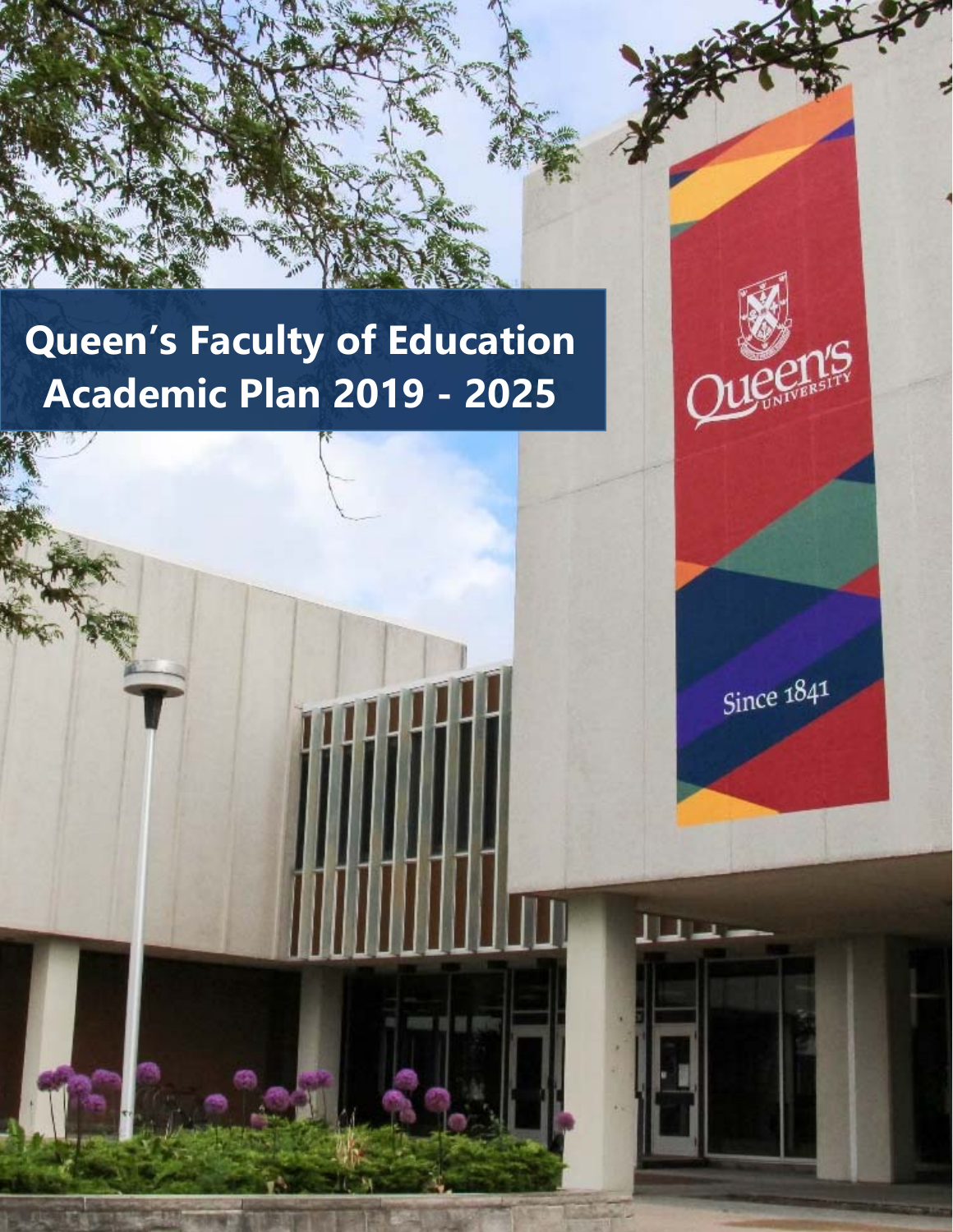# **Queen's Faculty of Education Academic Plan 2019 - 2025**



Since  $1841$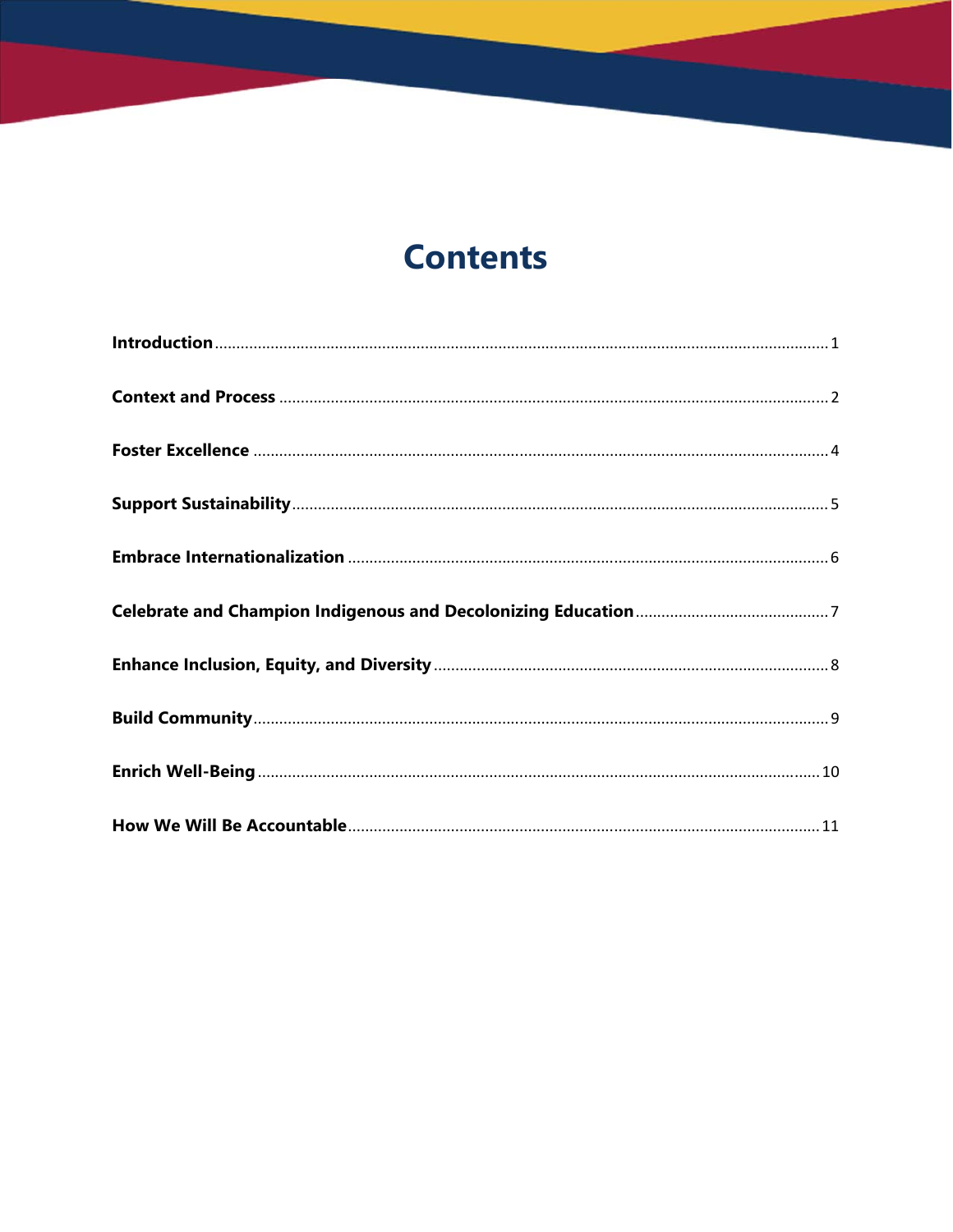## **Contents**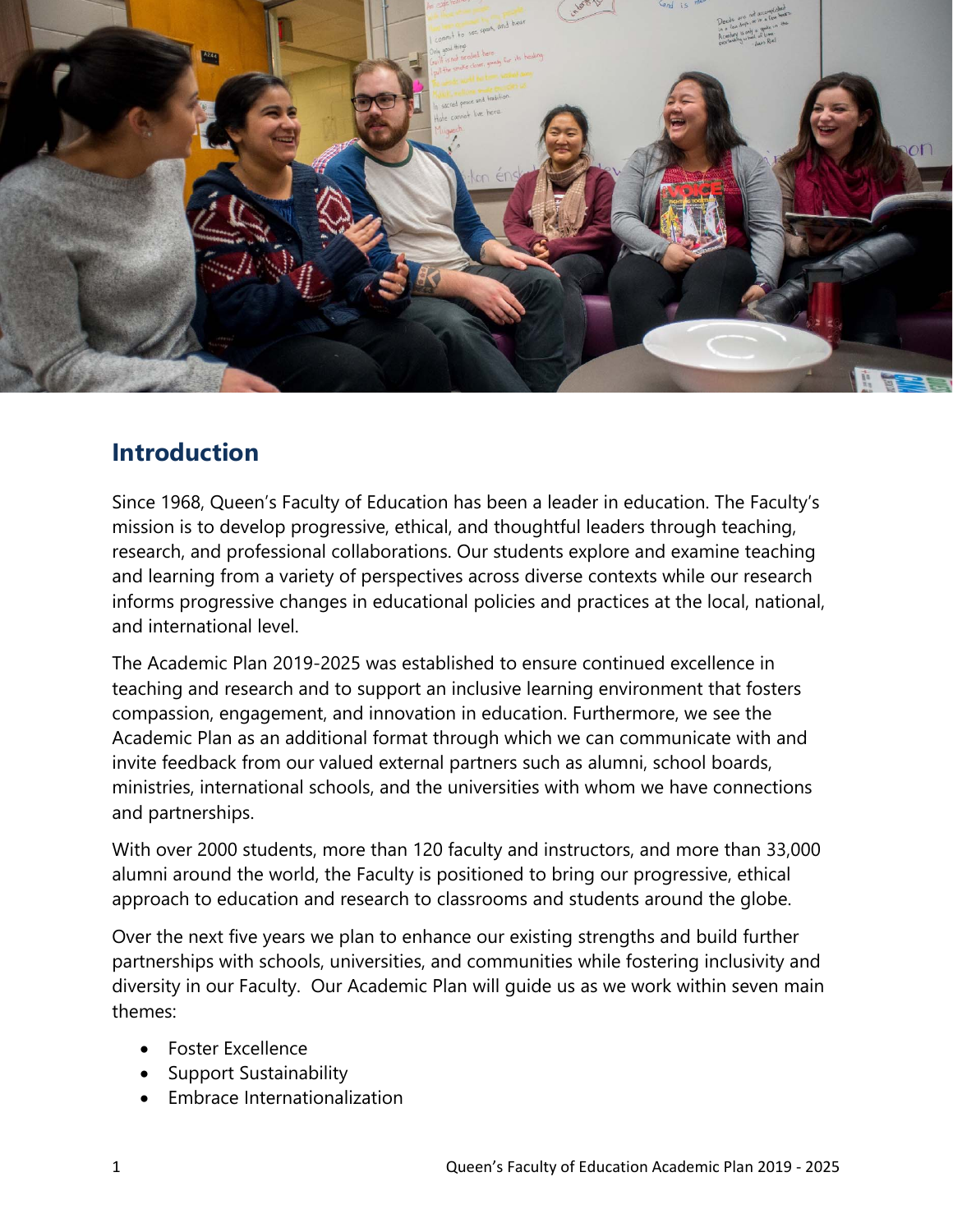

## **Introduction**

Since 1968, Queen's Faculty of Education has been a leader in education. The Faculty's mission is to develop progressive, ethical, and thoughtful leaders through teaching, research, and professional collaborations. Our students explore and examine teaching and learning from a variety of perspectives across diverse contexts while our research informs progressive changes in educational policies and practices at the local, national, and international level.

The Academic Plan 2019-2025 was established to ensure continued excellence in teaching and research and to support an inclusive learning environment that fosters compassion, engagement, and innovation in education. Furthermore, we see the Academic Plan as an additional format through which we can communicate with and invite feedback from our valued external partners such as alumni, school boards, ministries, international schools, and the universities with whom we have connections and partnerships.

With over 2000 students, more than 120 faculty and instructors, and more than 33,000 alumni around the world, the Faculty is positioned to bring our progressive, ethical approach to education and research to classrooms and students around the globe.

Over the next five years we plan to enhance our existing strengths and build further partnerships with schools, universities, and communities while fostering inclusivity and diversity in our Faculty. Our Academic Plan will guide us as we work within seven main themes:

- Foster Excellence
- Support Sustainability
- Embrace Internationalization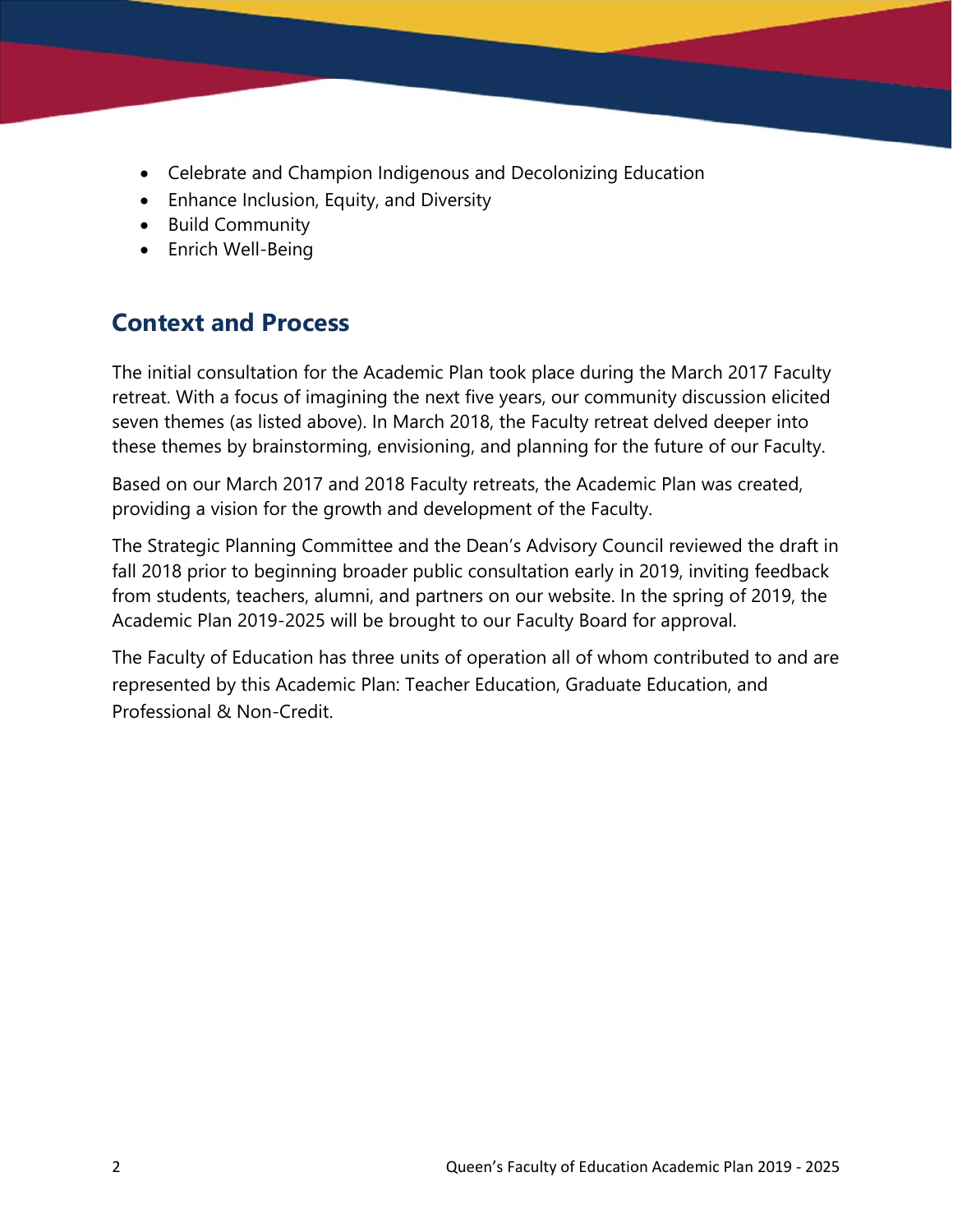- Celebrate and Champion Indigenous and Decolonizing Education
- Enhance Inclusion, Equity, and Diversity
- Build Community
- Enrich Well-Being

## **Context and Process**

The initial consultation for the Academic Plan took place during the March 2017 Faculty retreat. With a focus of imagining the next five years, our community discussion elicited seven themes (as listed above). In March 2018, the Faculty retreat delved deeper into these themes by brainstorming, envisioning, and planning for the future of our Faculty.

Based on our March 2017 and 2018 Faculty retreats, the Academic Plan was created, providing a vision for the growth and development of the Faculty.

The Strategic Planning Committee and the Dean's Advisory Council reviewed the draft in fall 2018 prior to beginning broader public consultation early in 2019, inviting feedback from students, teachers, alumni, and partners on our website. In the spring of 2019, the Academic Plan 2019-2025 will be brought to our Faculty Board for approval.

The Faculty of Education has three units of operation all of whom contributed to and are represented by this Academic Plan: Teacher Education, Graduate Education, and Professional & Non-Credit.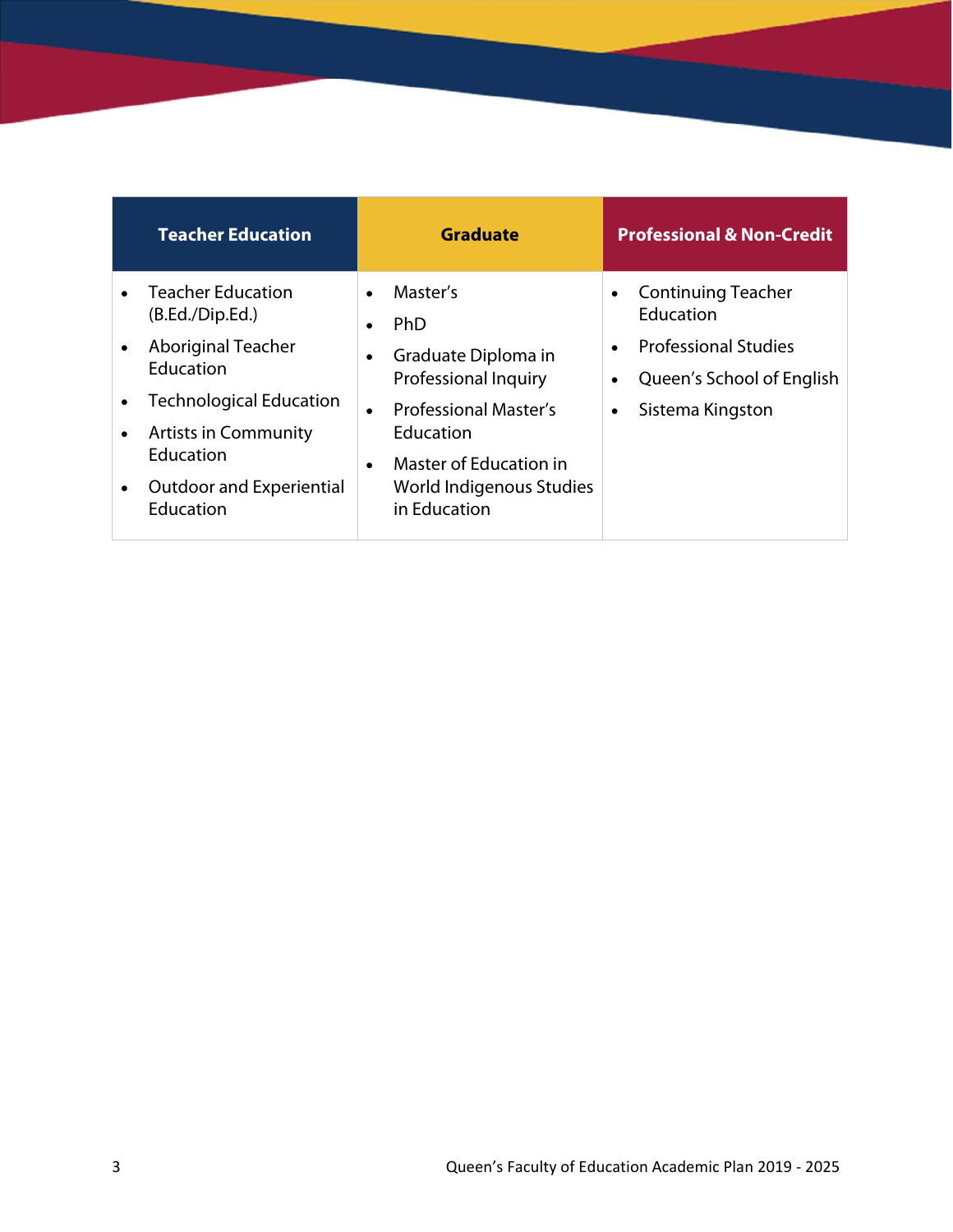|           | <b>Teacher Education</b>                                                   | <b>Graduate</b>                                                                  | <b>Professional &amp; Non-Credit</b>                                         |
|-----------|----------------------------------------------------------------------------|----------------------------------------------------------------------------------|------------------------------------------------------------------------------|
|           | <b>Teacher Education</b><br>(B.Ed./Dip.Ed.)                                | Master's<br>$\bullet$<br><b>PhD</b><br>$\bullet$                                 | <b>Continuing Teacher</b><br>Education                                       |
|           | Aboriginal Teacher<br>Education                                            | Graduate Diploma in<br>$\bullet$<br><b>Professional Inquiry</b>                  | <b>Professional Studies</b><br>Queen's School of English<br>Sistema Kingston |
|           | <b>Technological Education</b><br><b>Artists in Community</b><br>Education | <b>Professional Master's</b><br>Education<br>Master of Education in<br>$\bullet$ |                                                                              |
| $\bullet$ | <b>Outdoor and Experiential</b><br>Education                               | World Indigenous Studies<br>in Education                                         |                                                                              |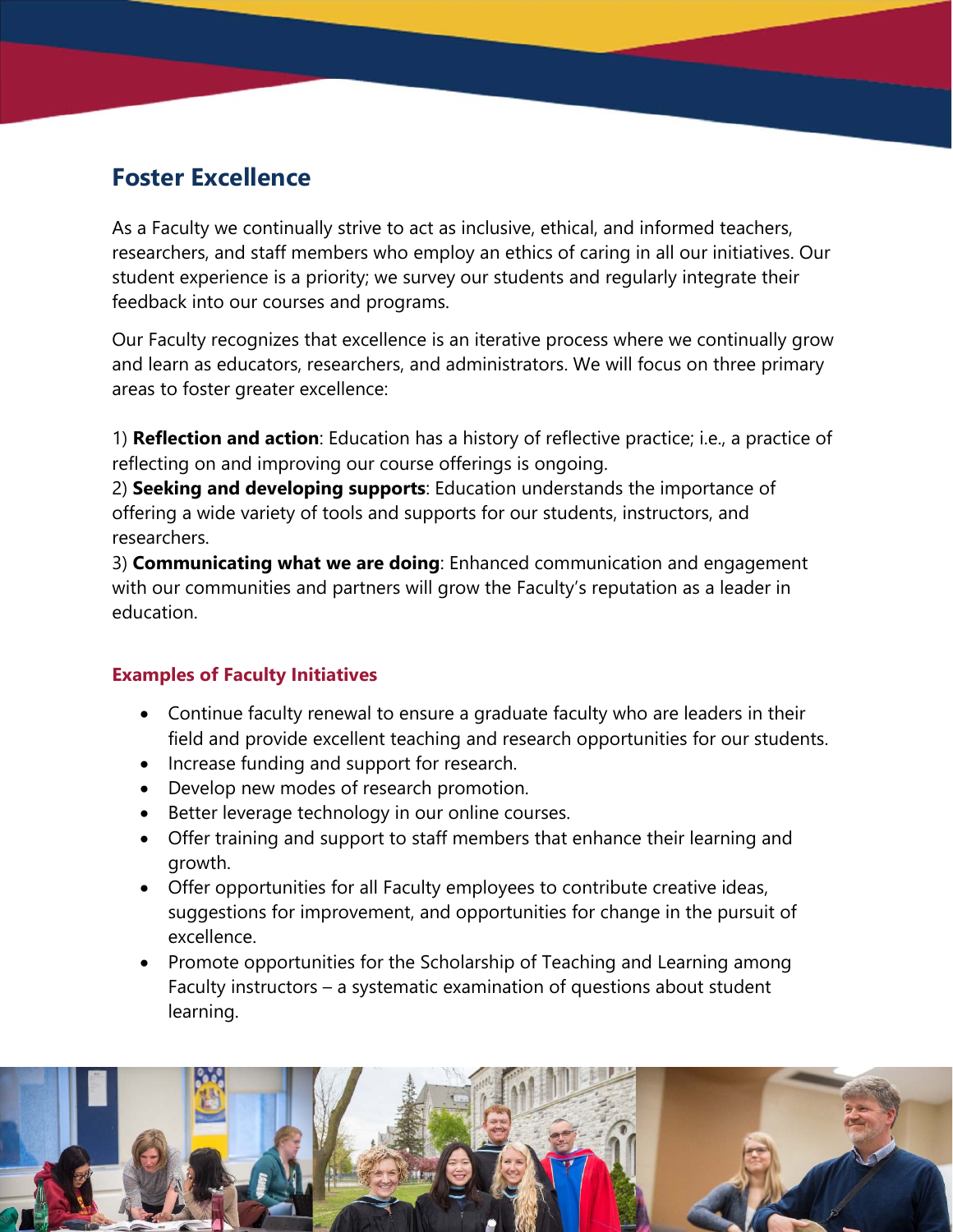## **Foster Excellence**

As a Faculty we continually strive to act as inclusive, ethical, and informed teachers, researchers, and staff members who employ an ethics of caring in all our initiatives. Our student experience is a priority; we survey our students and regularly integrate their feedback into our courses and programs.

Our Faculty recognizes that excellence is an iterative process where we continually grow and learn as educators, researchers, and administrators. We will focus on three primary areas to foster greater excellence:

1) **Reflection and action**: Education has a history of reflective practice; i.e., a practice of reflecting on and improving our course offerings is ongoing.

2) **Seeking and developing supports**: Education understands the importance of offering a wide variety of tools and supports for our students, instructors, and researchers.

3) **Communicating what we are doing**: Enhanced communication and engagement with our communities and partners will grow the Faculty's reputation as a leader in education.

- Continue faculty renewal to ensure a graduate faculty who are leaders in their field and provide excellent teaching and research opportunities for our students.
- Increase funding and support for research.
- Develop new modes of research promotion.
- Better leverage technology in our online courses.
- Offer training and support to staff members that enhance their learning and growth.
- Offer opportunities for all Faculty employees to contribute creative ideas, suggestions for improvement, and opportunities for change in the pursuit of excellence.
- Promote opportunities for the Scholarship of Teaching and Learning among Faculty instructors – a systematic examination of questions about student learning.

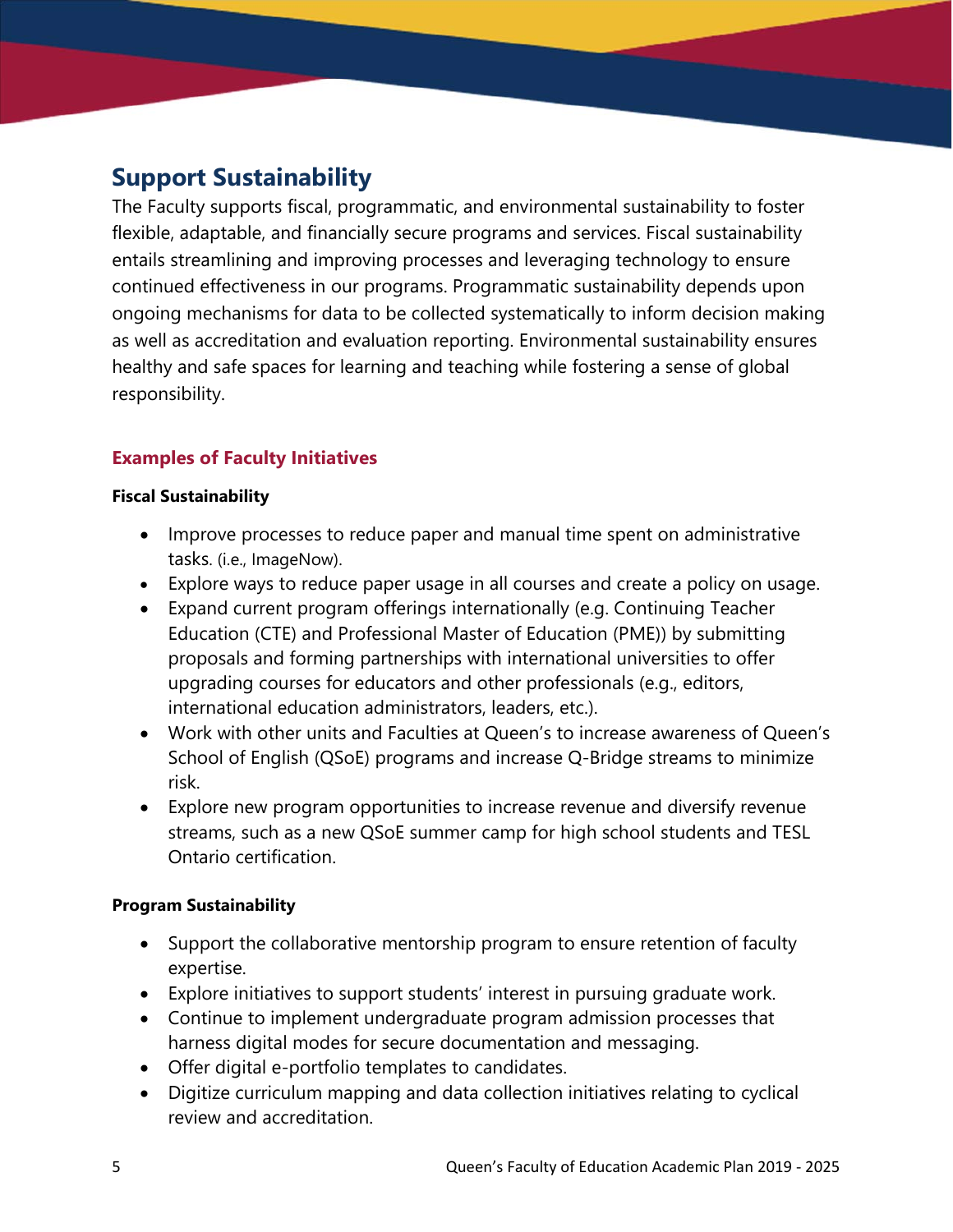## **Support Sustainability**

The Faculty supports fiscal, programmatic, and environmental sustainability to foster flexible, adaptable, and financially secure programs and services. Fiscal sustainability entails streamlining and improving processes and leveraging technology to ensure continued effectiveness in our programs. Programmatic sustainability depends upon ongoing mechanisms for data to be collected systematically to inform decision making as well as accreditation and evaluation reporting. Environmental sustainability ensures healthy and safe spaces for learning and teaching while fostering a sense of global responsibility.

#### **Examples of Faculty Initiatives**

#### **Fiscal Sustainability**

- Improve processes to reduce paper and manual time spent on administrative tasks. (i.e., ImageNow).
- Explore ways to reduce paper usage in all courses and create a policy on usage.
- Expand current program offerings internationally (e.g. Continuing Teacher Education (CTE) and Professional Master of Education (PME)) by submitting proposals and forming partnerships with international universities to offer upgrading courses for educators and other professionals (e.g., editors, international education administrators, leaders, etc.).
- Work with other units and Faculties at Queen's to increase awareness of Queen's School of English (QSoE) programs and increase Q-Bridge streams to minimize risk.
- Explore new program opportunities to increase revenue and diversify revenue streams, such as a new QSoE summer camp for high school students and TESL Ontario certification.

#### **Program Sustainability**

- Support the collaborative mentorship program to ensure retention of faculty expertise.
- Explore initiatives to support students' interest in pursuing graduate work.
- Continue to implement undergraduate program admission processes that harness digital modes for secure documentation and messaging.
- Offer digital e-portfolio templates to candidates.
- Digitize curriculum mapping and data collection initiatives relating to cyclical review and accreditation.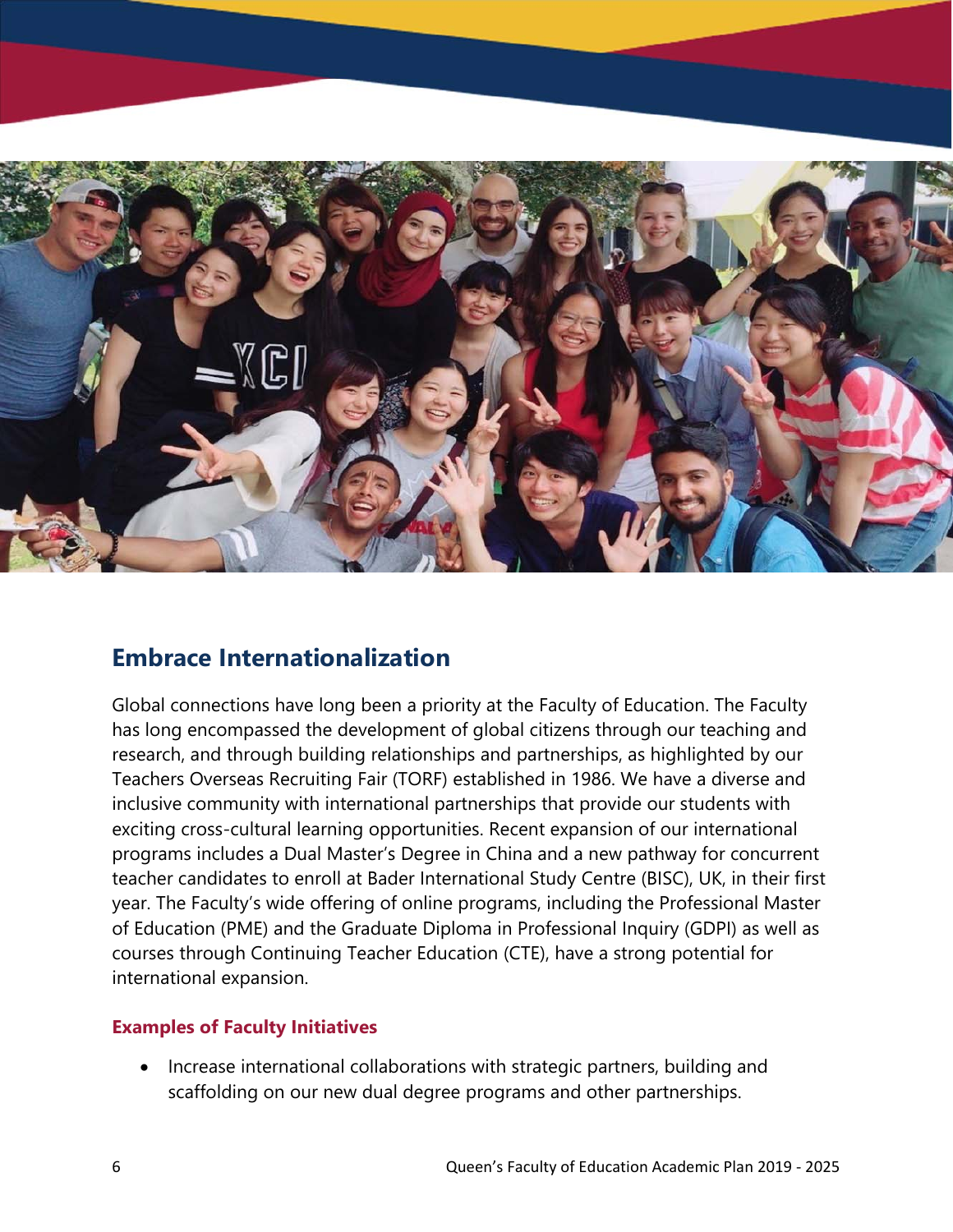

### **Embrace Internationalization**

Global connections have long been a priority at the Faculty of Education. The Faculty has long encompassed the development of global citizens through our teaching and research, and through building relationships and partnerships, as highlighted by our Teachers Overseas Recruiting Fair (TORF) established in 1986. We have a diverse and inclusive community with international partnerships that provide our students with exciting cross-cultural learning opportunities. Recent expansion of our international programs includes a Dual Master's Degree in China and a new pathway for concurrent teacher candidates to enroll at Bader International Study Centre (BISC), UK, in their first year. The Faculty's wide offering of online programs, including the Professional Master of Education (PME) and the Graduate Diploma in Professional Inquiry (GDPI) as well as courses through Continuing Teacher Education (CTE), have a strong potential for international expansion.

#### **Examples of Faculty Initiatives**

• Increase international collaborations with strategic partners, building and scaffolding on our new dual degree programs and other partnerships.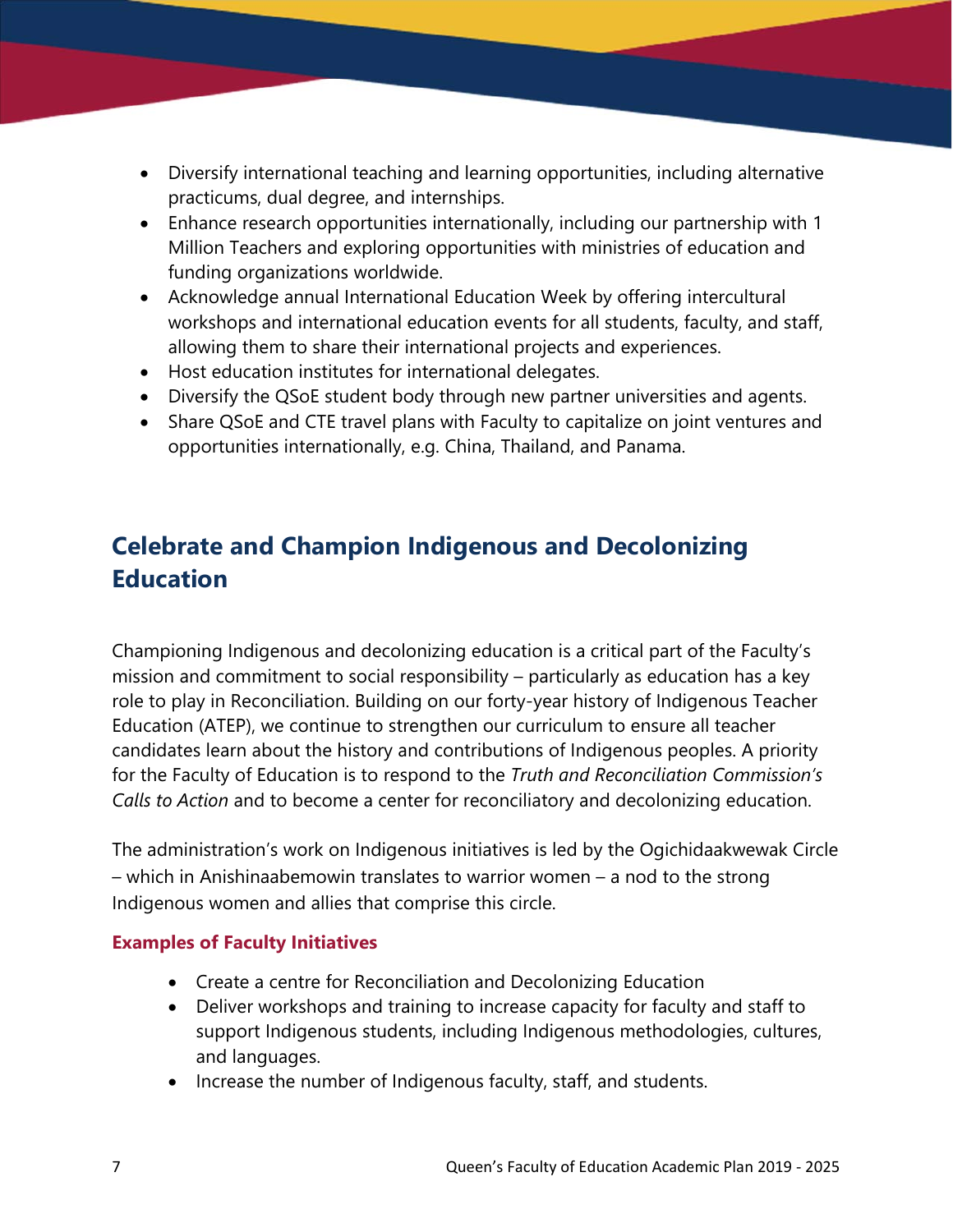- Diversify international teaching and learning opportunities, including alternative practicums, dual degree, and internships.
- Enhance research opportunities internationally, including our partnership with 1 Million Teachers and exploring opportunities with ministries of education and funding organizations worldwide.
- Acknowledge annual International Education Week by offering intercultural workshops and international education events for all students, faculty, and staff, allowing them to share their international projects and experiences.
- Host education institutes for international delegates.
- Diversify the QSoE student body through new partner universities and agents.
- Share QSoE and CTE travel plans with Faculty to capitalize on joint ventures and opportunities internationally, e.g. China, Thailand, and Panama.

## **Celebrate and Champion Indigenous and Decolonizing Education**

Championing Indigenous and decolonizing education is a critical part of the Faculty's mission and commitment to social responsibility – particularly as education has a key role to play in Reconciliation. Building on our forty-year history of Indigenous Teacher Education (ATEP), we continue to strengthen our curriculum to ensure all teacher candidates learn about the history and contributions of Indigenous peoples. A priority for the Faculty of Education is to respond to the *Truth and Reconciliation Commission's Calls to Action* and to become a center for reconciliatory and decolonizing education.

The administration's work on Indigenous initiatives is led by the Ogichidaakwewak Circle – which in Anishinaabemowin translates to warrior women – a nod to the strong Indigenous women and allies that comprise this circle.

- Create a centre for Reconciliation and Decolonizing Education
- Deliver workshops and training to increase capacity for faculty and staff to support Indigenous students, including Indigenous methodologies, cultures, and languages.
- Increase the number of Indigenous faculty, staff, and students.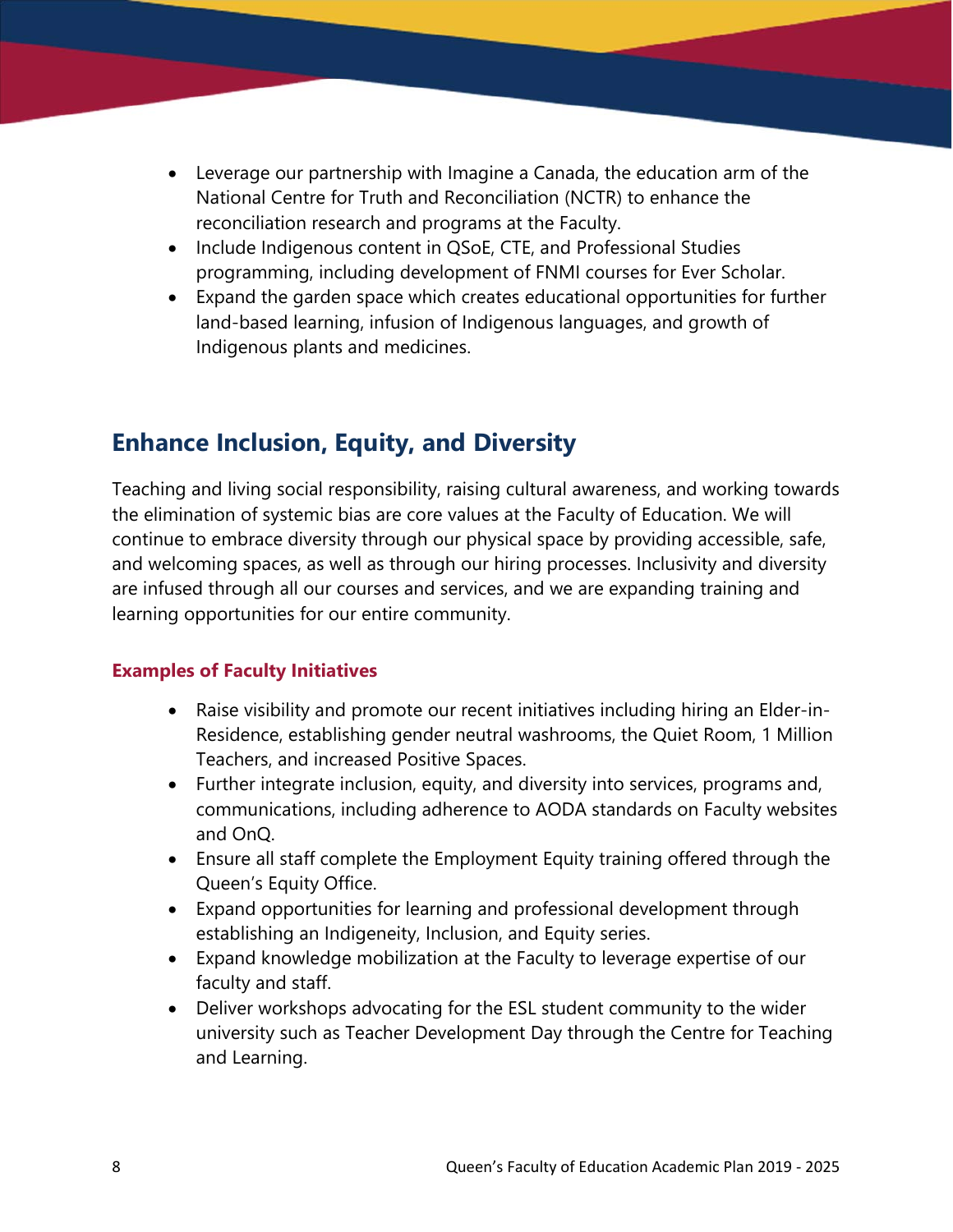- Leverage our partnership with Imagine a Canada, the education arm of the National Centre for Truth and Reconciliation (NCTR) to enhance the reconciliation research and programs at the Faculty.
- Include Indigenous content in QSoE, CTE, and Professional Studies programming, including development of FNMI courses for Ever Scholar.
- Expand the garden space which creates educational opportunities for further land-based learning, infusion of Indigenous languages, and growth of Indigenous plants and medicines.

## **Enhance Inclusion, Equity, and Diversity**

Teaching and living social responsibility, raising cultural awareness, and working towards the elimination of systemic bias are core values at the Faculty of Education. We will continue to embrace diversity through our physical space by providing accessible, safe, and welcoming spaces, as well as through our hiring processes. Inclusivity and diversity are infused through all our courses and services, and we are expanding training and learning opportunities for our entire community.

- Raise visibility and promote our recent initiatives including hiring an Elder-in-Residence, establishing gender neutral washrooms, the Quiet Room, 1 Million Teachers, and increased Positive Spaces.
- Further integrate inclusion, equity, and diversity into services, programs and, communications, including adherence to AODA standards on Faculty websites and OnQ.
- Ensure all staff complete the Employment Equity training offered through the Queen's Equity Office.
- Expand opportunities for learning and professional development through establishing an Indigeneity, Inclusion, and Equity series.
- Expand knowledge mobilization at the Faculty to leverage expertise of our faculty and staff.
- Deliver workshops advocating for the ESL student community to the wider university such as Teacher Development Day through the Centre for Teaching and Learning.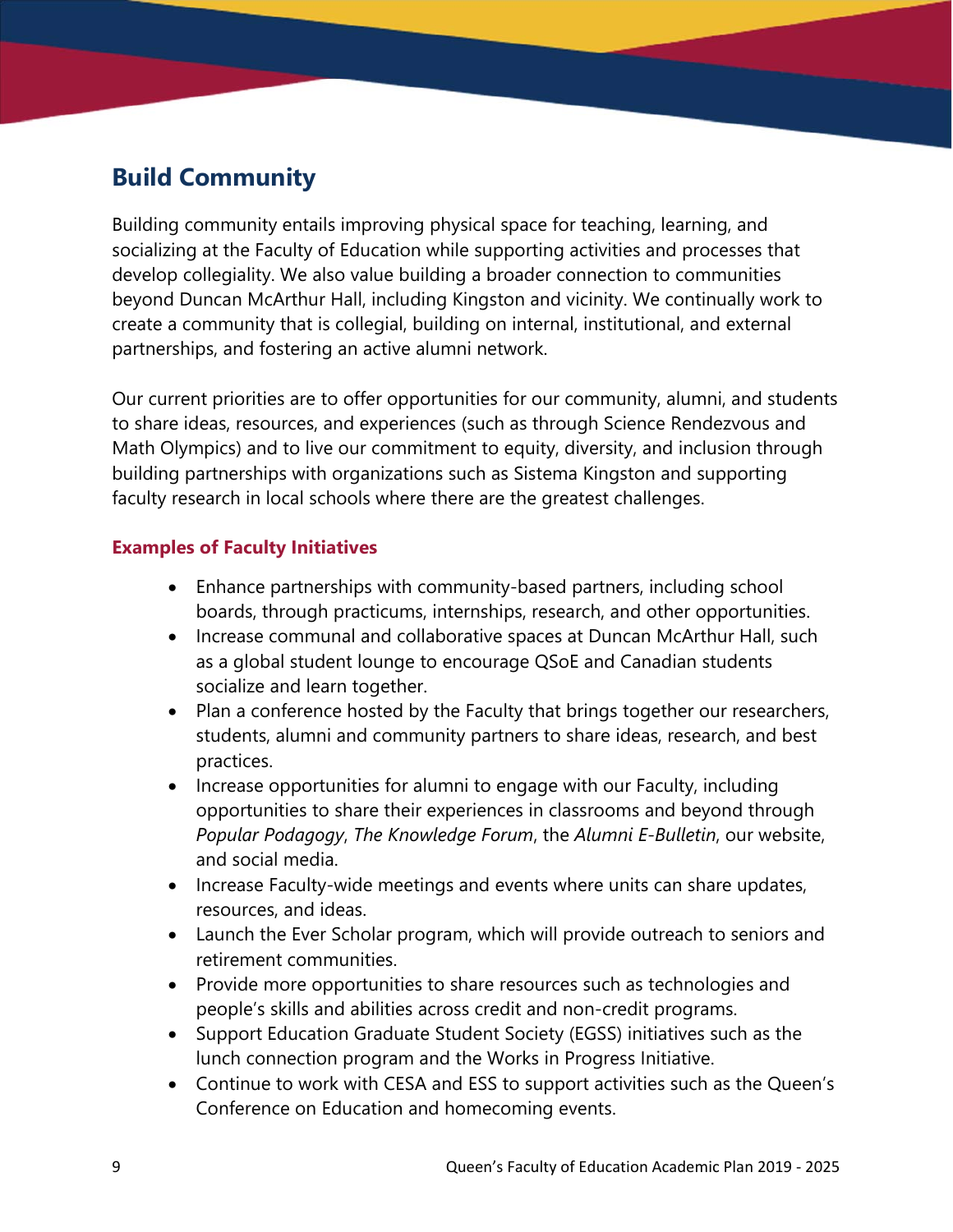## **Build Community**

Building community entails improving physical space for teaching, learning, and socializing at the Faculty of Education while supporting activities and processes that develop collegiality. We also value building a broader connection to communities beyond Duncan McArthur Hall, including Kingston and vicinity. We continually work to create a community that is collegial, building on internal, institutional, and external partnerships, and fostering an active alumni network.

Our current priorities are to offer opportunities for our community, alumni, and students to share ideas, resources, and experiences (such as through Science Rendezvous and Math Olympics) and to live our commitment to equity, diversity, and inclusion through building partnerships with organizations such as Sistema Kingston and supporting faculty research in local schools where there are the greatest challenges.

- Enhance partnerships with community-based partners, including school boards, through practicums, internships, research, and other opportunities.
- Increase communal and collaborative spaces at Duncan McArthur Hall, such as a global student lounge to encourage QSoE and Canadian students socialize and learn together.
- Plan a conference hosted by the Faculty that brings together our researchers, students, alumni and community partners to share ideas, research, and best practices.
- Increase opportunities for alumni to engage with our Faculty, including opportunities to share their experiences in classrooms and beyond through *Popular Podagogy*, *The Knowledge Forum*, the *Alumni E-Bulletin*, our website, and social media.
- Increase Faculty-wide meetings and events where units can share updates, resources, and ideas.
- Launch the Ever Scholar program, which will provide outreach to seniors and retirement communities.
- Provide more opportunities to share resources such as technologies and people's skills and abilities across credit and non-credit programs.
- Support Education Graduate Student Society (EGSS) initiatives such as the lunch connection program and the Works in Progress Initiative.
- Continue to work with CESA and ESS to support activities such as the Queen's Conference on Education and homecoming events.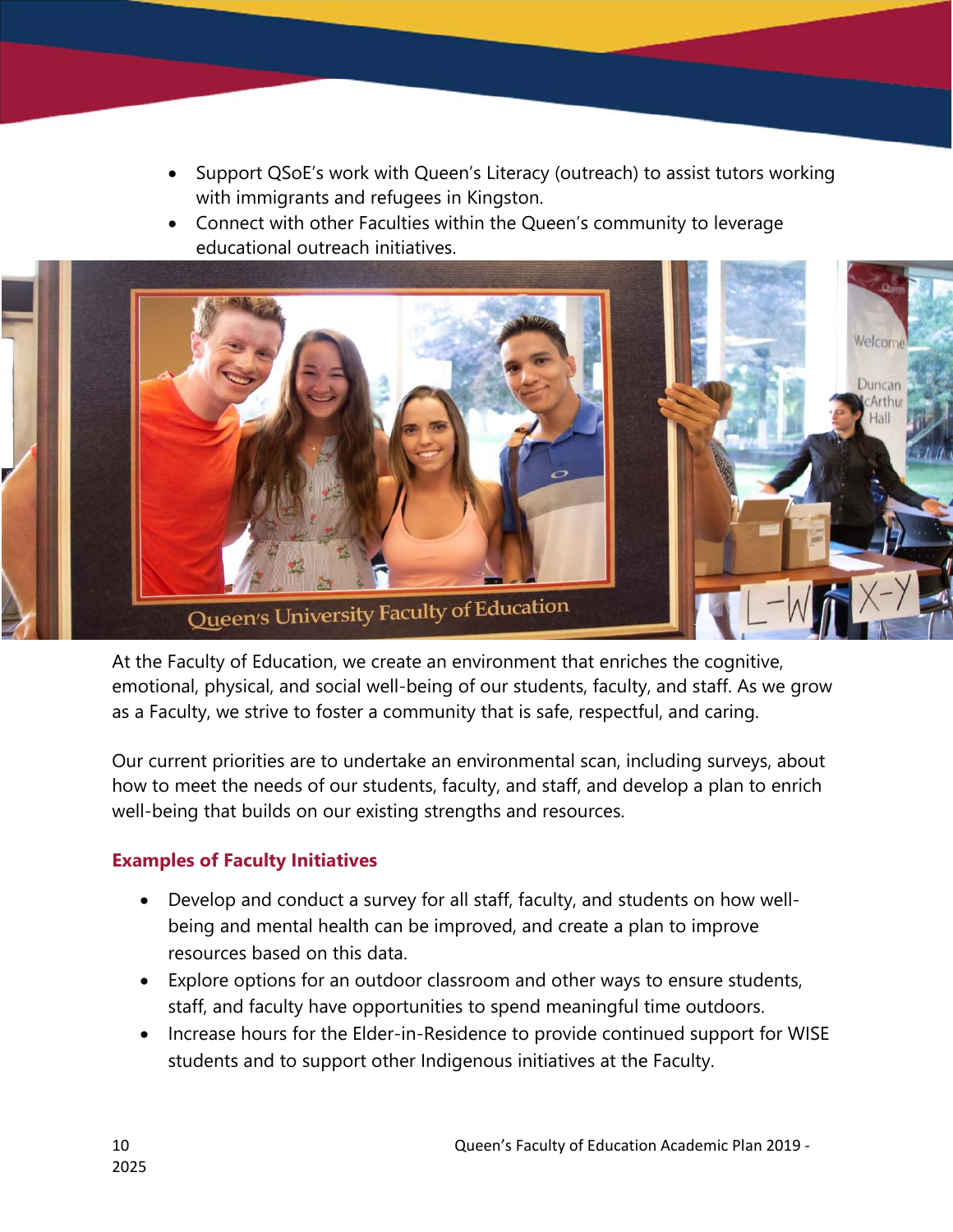- Support QSoE's work with Queen's Literacy (outreach) to assist tutors working with immigrants and refugees in Kingston.
- Connect with other Faculties within the Queen's community to leverage educational outreach initiatives.



At the Faculty of Education, we create an environment that enriches the cognitive, emotional, physical, and social well-being of our students, faculty, and staff. As we grow as a Faculty, we strive to foster a community that is safe, respectful, and caring.

Our current priorities are to undertake an environmental scan, including surveys, about how to meet the needs of our students, faculty, and staff, and develop a plan to enrich well-being that builds on our existing strengths and resources.

- Develop and conduct a survey for all staff, faculty, and students on how wellbeing and mental health can be improved, and create a plan to improve resources based on this data.
- Explore options for an outdoor classroom and other ways to ensure students, staff, and faculty have opportunities to spend meaningful time outdoors.
- Increase hours for the Elder-in-Residence to provide continued support for WISE students and to support other Indigenous initiatives at the Faculty.